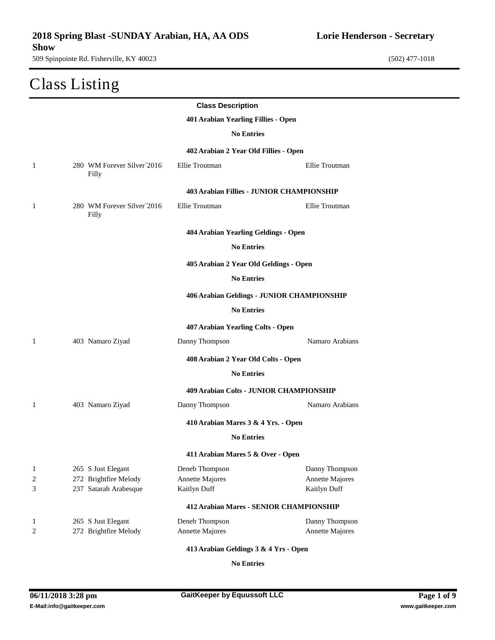## Class Listing

| <b>Class Description</b> |                                     |                                                |                                                  |                                 |  |  |
|--------------------------|-------------------------------------|------------------------------------------------|--------------------------------------------------|---------------------------------|--|--|
|                          | 401 Arabian Yearling Fillies - Open |                                                |                                                  |                                 |  |  |
|                          |                                     |                                                | <b>No Entries</b>                                |                                 |  |  |
|                          |                                     |                                                | 402 Arabian 2 Year Old Fillies - Open            |                                 |  |  |
| $\mathbf{1}$             |                                     | 280 WM Forever Silver`2016<br>Filly            | Ellie Troutman                                   | Ellie Troutman                  |  |  |
|                          |                                     |                                                | <b>403 Arabian Fillies - JUNIOR CHAMPIONSHIP</b> |                                 |  |  |
| -1                       |                                     | 280 WM Forever Silver`2016<br>Filly            | Ellie Troutman                                   | Ellie Troutman                  |  |  |
|                          |                                     |                                                | 404 Arabian Yearling Geldings - Open             |                                 |  |  |
|                          |                                     |                                                | <b>No Entries</b>                                |                                 |  |  |
|                          |                                     |                                                | 405 Arabian 2 Year Old Geldings - Open           |                                 |  |  |
|                          |                                     |                                                | <b>No Entries</b>                                |                                 |  |  |
|                          |                                     |                                                | 406 Arabian Geldings - JUNIOR CHAMPIONSHIP       |                                 |  |  |
|                          |                                     |                                                | <b>No Entries</b>                                |                                 |  |  |
|                          |                                     |                                                | 407 Arabian Yearling Colts - Open                |                                 |  |  |
| -1                       |                                     | 403 Namaro Ziyad                               | Danny Thompson                                   | Namaro Arabians                 |  |  |
|                          |                                     |                                                | 408 Arabian 2 Year Old Colts - Open              |                                 |  |  |
|                          |                                     |                                                | <b>No Entries</b>                                |                                 |  |  |
|                          |                                     |                                                | 409 Arabian Colts - JUNIOR CHAMPIONSHIP          |                                 |  |  |
| 1                        |                                     | 403 Namaro Ziyad                               | Danny Thompson                                   | Namaro Arabians                 |  |  |
|                          |                                     |                                                | 410 Arabian Mares 3 & 4 Yrs. - Open              |                                 |  |  |
|                          |                                     |                                                | <b>No Entries</b>                                |                                 |  |  |
|                          |                                     |                                                | 411 Arabian Mares 5 & Over - Open                |                                 |  |  |
| 1                        |                                     | 265 S Just Elegant                             | Deneb Thompson                                   | Danny Thompson                  |  |  |
| 2<br>3                   |                                     | 272 Brightfire Melody<br>237 Satarah Arabesque | Annette Majores<br>Kaitlyn Duff                  | Annette Majores<br>Kaitlyn Duff |  |  |
|                          |                                     |                                                | 412 Arabian Mares - SENIOR CHAMPIONSHIP          |                                 |  |  |
| 1                        |                                     | 265 S Just Elegant                             | Deneb Thompson                                   | Danny Thompson                  |  |  |
| 2                        |                                     | 272 Brightfire Melody                          | Annette Majores                                  | Annette Majores                 |  |  |
|                          |                                     |                                                |                                                  |                                 |  |  |

**413 Arabian Geldings 3 & 4 Yrs - Open**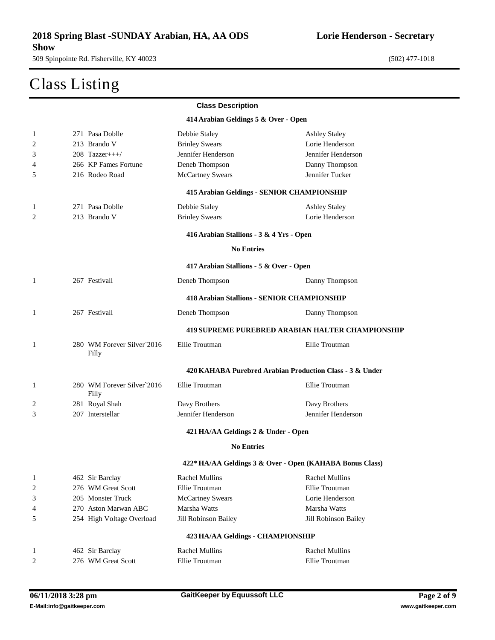#### Class Listing

| <b>Class Description</b>             |                                     |                                                    |                                                          |  |  |  |
|--------------------------------------|-------------------------------------|----------------------------------------------------|----------------------------------------------------------|--|--|--|
| 414 Arabian Geldings 5 & Over - Open |                                     |                                                    |                                                          |  |  |  |
| 1                                    | 271 Pasa Doblle                     | Debbie Staley                                      | <b>Ashley Staley</b>                                     |  |  |  |
| 2                                    | 213 Brando V                        | <b>Brinley Swears</b>                              | Lorie Henderson                                          |  |  |  |
| 3                                    | 208 Tazzer+++/                      | Jennifer Henderson                                 | Jennifer Henderson                                       |  |  |  |
| 4                                    | 266 KP Fames Fortune                | Deneb Thompson                                     | Danny Thompson                                           |  |  |  |
| 5                                    | 216 Rodeo Road                      | <b>McCartney Swears</b>                            | Jennifer Tucker                                          |  |  |  |
|                                      |                                     | <b>415 Arabian Geldings - SENIOR CHAMPIONSHIP</b>  |                                                          |  |  |  |
| 1                                    | 271 Pasa Doblle                     | Debbie Staley                                      | <b>Ashley Staley</b>                                     |  |  |  |
| 2                                    | 213 Brando V                        | <b>Brinley Swears</b>                              | Lorie Henderson                                          |  |  |  |
|                                      |                                     | 416 Arabian Stallions - 3 & 4 Yrs - Open           |                                                          |  |  |  |
|                                      |                                     | <b>No Entries</b>                                  |                                                          |  |  |  |
|                                      |                                     | 417 Arabian Stallions - 5 & Over - Open            |                                                          |  |  |  |
| 1                                    | 267 Festivall                       | Deneb Thompson                                     | Danny Thompson                                           |  |  |  |
|                                      |                                     | <b>418 Arabian Stallions - SENIOR CHAMPIONSHIP</b> |                                                          |  |  |  |
| 1                                    | 267 Festivall                       | Deneb Thompson                                     | Danny Thompson                                           |  |  |  |
|                                      |                                     |                                                    | <b>419 SUPREME PUREBRED ARABIAN HALTER CHAMPIONSHIP</b>  |  |  |  |
| 1                                    | 280 WM Forever Silver`2016<br>Filly | Ellie Troutman                                     | Ellie Troutman                                           |  |  |  |
|                                      |                                     |                                                    | 420 KAHABA Purebred Arabian Production Class - 3 & Under |  |  |  |
| 1                                    | 280 WM Forever Silver`2016<br>Filly | Ellie Troutman                                     | Ellie Troutman                                           |  |  |  |
| 2                                    | 281 Royal Shah                      | Davy Brothers                                      | Davy Brothers                                            |  |  |  |
| 3                                    | 207 Interstellar                    | Jennifer Henderson                                 | Jennifer Henderson                                       |  |  |  |
|                                      |                                     | 421 HA/AA Geldings 2 & Under - Open                |                                                          |  |  |  |
|                                      |                                     | <b>No Entries</b>                                  |                                                          |  |  |  |
|                                      |                                     |                                                    | 422* HA/AA Geldings 3 & Over - Open (KAHABA Bonus Class) |  |  |  |
| $\mathbf{1}$                         | 462 Sir Barclay                     | Rachel Mullins                                     | <b>Rachel Mullins</b>                                    |  |  |  |
| $\overline{\mathbf{c}}$              | 276 WM Great Scott                  | Ellie Troutman                                     | Ellie Troutman                                           |  |  |  |
| 3                                    | 205 Monster Truck                   | <b>McCartney Swears</b>                            | Lorie Henderson                                          |  |  |  |
| 4                                    | 270 Aston Marwan ABC                | Marsha Watts                                       | Marsha Watts                                             |  |  |  |
| 5                                    | 254 High Voltage Overload           | Jill Robinson Bailey                               | Jill Robinson Bailey                                     |  |  |  |
|                                      |                                     | 423 HA/AA Geldings - CHAMPIONSHIP                  |                                                          |  |  |  |
| $\mathbf{1}$                         | 462 Sir Barclay                     | <b>Rachel Mullins</b>                              | <b>Rachel Mullins</b>                                    |  |  |  |
| 2                                    | 276 WM Great Scott                  | Ellie Troutman                                     | Ellie Troutman                                           |  |  |  |
|                                      |                                     |                                                    |                                                          |  |  |  |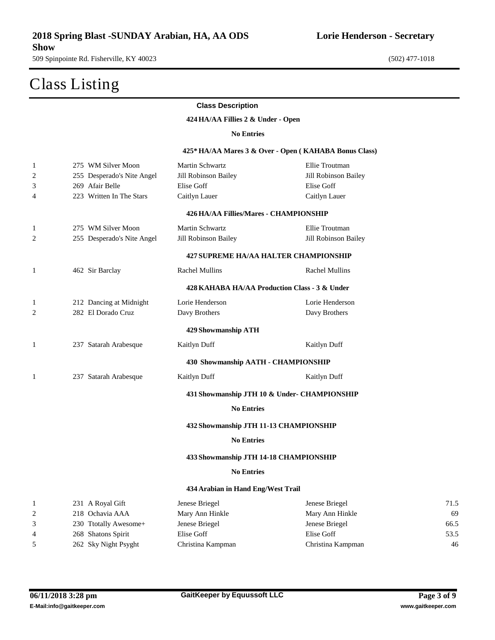### Class Listing

| <b>Class Description</b> |  |
|--------------------------|--|
|--------------------------|--|

**HA/AA Fillies 2 & Under - Open**

**No Entries**

#### **425\* HA/AA Mares 3 & Over - Open ( KAHABA Bonus Class)**

| $\mathbf{1}$ | 275 WM Silver Moon         | Martin Schwartz                               | Ellie Troutman                               |      |
|--------------|----------------------------|-----------------------------------------------|----------------------------------------------|------|
| 2            | 255 Desperado's Nite Angel | Jill Robinson Bailey                          | Jill Robinson Bailey                         |      |
| 3            | 269 Afair Belle            | Elise Goff                                    | Elise Goff                                   |      |
| 4            | 223 Written In The Stars   | Caitlyn Lauer                                 | Caitlyn Lauer                                |      |
|              |                            | 426 HA/AA Fillies/Mares - CHAMPIONSHIP        |                                              |      |
| 1            | 275 WM Silver Moon         | Martin Schwartz                               | Ellie Troutman                               |      |
| 2            | 255 Desperado's Nite Angel | Jill Robinson Bailey                          | Jill Robinson Bailey                         |      |
|              |                            |                                               | <b>427 SUPREME HA/AA HALTER CHAMPIONSHIP</b> |      |
| 1            | 462 Sir Barclay            | <b>Rachel Mullins</b>                         | <b>Rachel Mullins</b>                        |      |
|              |                            | 428 KAHABA HA/AA Production Class - 3 & Under |                                              |      |
| $\mathbf{1}$ | 212 Dancing at Midnight    | Lorie Henderson                               | Lorie Henderson                              |      |
| 2            | 282 El Dorado Cruz         | Davy Brothers                                 | Davy Brothers                                |      |
|              |                            | 429 Showmanship ATH                           |                                              |      |
| 1            | 237 Satarah Arabesque      | Kaitlyn Duff                                  | Kaitlyn Duff                                 |      |
|              |                            | 430 Showmanship AATH - CHAMPIONSHIP           |                                              |      |
| 1            | 237 Satarah Arabesque      | Kaitlyn Duff                                  | Kaitlyn Duff                                 |      |
|              |                            |                                               | 431 Showmanship JTH 10 & Under- CHAMPIONSHIP |      |
|              |                            | <b>No Entries</b>                             |                                              |      |
|              |                            | 432 Showmanship JTH 11-13 CHAMPIONSHIP        |                                              |      |
|              |                            | <b>No Entries</b>                             |                                              |      |
|              |                            | 433 Showmanship JTH 14-18 CHAMPIONSHIP        |                                              |      |
|              |                            | <b>No Entries</b>                             |                                              |      |
|              |                            | 434 Arabian in Hand Eng/West Trail            |                                              |      |
| 1            | 231 A Royal Gift           | Jenese Briegel                                | Jenese Briegel                               | 71.5 |
| 2            | 218 Ochavia AAA            | Mary Ann Hinkle                               | Mary Ann Hinkle                              | 69   |
| 3            | 230 Ttotally Awesome+      | Jenese Briegel                                | Jenese Briegel                               | 66.5 |
| 4            | 268 Shatons Spirit         | Elise Goff                                    | Elise Goff                                   | 53.5 |
| 5            | 262 Sky Night Psyght       | Christina Kampman                             | Christina Kampman                            | 46   |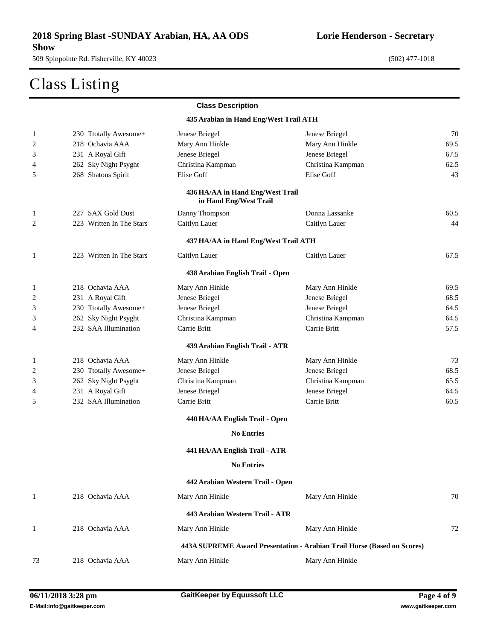### Class Listing

|              |                          | <b>Class Description</b>                                   |                                                                         |      |
|--------------|--------------------------|------------------------------------------------------------|-------------------------------------------------------------------------|------|
|              |                          | 435 Arabian in Hand Eng/West Trail ATH                     |                                                                         |      |
| 1            | 230 Ttotally Awesome+    | Jenese Briegel                                             | Jenese Briegel                                                          | 70   |
| 2            | 218 Ochavia AAA          | Mary Ann Hinkle                                            | Mary Ann Hinkle                                                         | 69.5 |
| 3            | 231 A Royal Gift         | Jenese Briegel                                             | Jenese Briegel                                                          | 67.5 |
| 4            | 262 Sky Night Psyght     | Christina Kampman                                          | Christina Kampman                                                       | 62.5 |
| 5            | 268 Shatons Spirit       | Elise Goff                                                 | Elise Goff                                                              | 43   |
|              |                          | 436 HA/AA in Hand Eng/West Trail<br>in Hand Eng/West Trail |                                                                         |      |
| 1            | 227 SAX Gold Dust        | Danny Thompson                                             | Donna Lassanke                                                          | 60.5 |
| 2            | 223 Written In The Stars | Caitlyn Lauer                                              | Caitlyn Lauer                                                           | 44   |
|              |                          | 437 HA/AA in Hand Eng/West Trail ATH                       |                                                                         |      |
| 1            | 223 Written In The Stars | Caitlyn Lauer                                              | Caitlyn Lauer                                                           | 67.5 |
|              |                          | 438 Arabian English Trail - Open                           |                                                                         |      |
| 1            | 218 Ochavia AAA          | Mary Ann Hinkle                                            | Mary Ann Hinkle                                                         | 69.5 |
| 2            | 231 A Royal Gift         | Jenese Briegel                                             | Jenese Briegel                                                          | 68.5 |
| 3            | 230 Ttotally Awesome+    | Jenese Briegel                                             | Jenese Briegel                                                          | 64.5 |
| 3            | 262 Sky Night Psyght     | Christina Kampman                                          | Christina Kampman                                                       | 64.5 |
| 4            | 232 SAA Illumination     | Carrie Britt                                               | Carrie Britt                                                            | 57.5 |
|              |                          | 439 Arabian English Trail - ATR                            |                                                                         |      |
| 1            | 218 Ochavia AAA          | Mary Ann Hinkle                                            | Mary Ann Hinkle                                                         | 73   |
| 2            | 230 Ttotally Awesome+    | Jenese Briegel                                             | Jenese Briegel                                                          | 68.5 |
| 3            | 262 Sky Night Psyght     | Christina Kampman                                          | Christina Kampman                                                       | 65.5 |
| 4            | 231 A Royal Gift         | Jenese Briegel                                             | Jenese Briegel                                                          | 64.5 |
| 5            | 232 SAA Illumination     | Carrie Britt                                               | Carrie Britt                                                            | 60.5 |
|              |                          | 440 HA/AA English Trail - Open                             |                                                                         |      |
|              |                          | <b>No Entries</b>                                          |                                                                         |      |
|              |                          | 441 HA/AA English Trail - ATR                              |                                                                         |      |
|              |                          | <b>No Entries</b>                                          |                                                                         |      |
|              |                          | 442 Arabian Western Trail - Open                           |                                                                         |      |
| $\mathbf{1}$ | 218 Ochavia AAA          | Mary Ann Hinkle                                            | Mary Ann Hinkle                                                         | 70   |
|              |                          | 443 Arabian Western Trail - ATR                            |                                                                         |      |
| 1            | 218 Ochavia AAA          | Mary Ann Hinkle                                            | Mary Ann Hinkle                                                         | 72   |
|              |                          |                                                            | 443A SUPREME Award Presentation - Arabian Trail Horse (Based on Scores) |      |
| 73           | 218 Ochavia AAA          | Mary Ann Hinkle                                            | Mary Ann Hinkle                                                         |      |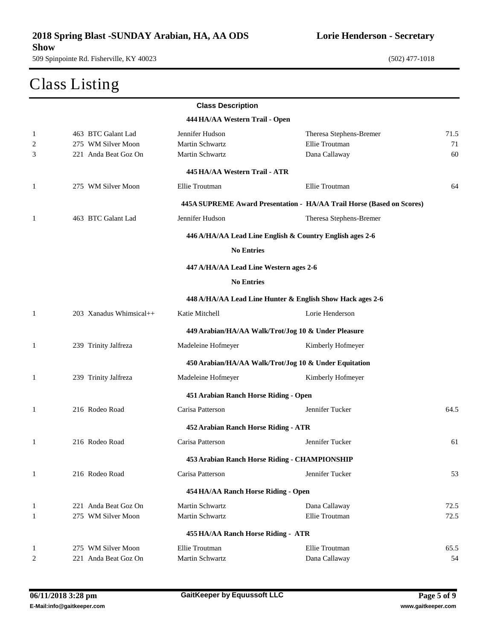# Class Listing

|                |                         | <b>Class Description</b>               |                                                                       |      |
|----------------|-------------------------|----------------------------------------|-----------------------------------------------------------------------|------|
|                |                         | 444 HA/AA Western Trail - Open         |                                                                       |      |
| 1              | 463 BTC Galant Lad      | Jennifer Hudson                        | Theresa Stephens-Bremer                                               | 71.5 |
| 2              | 275 WM Silver Moon      | Martin Schwartz                        | Ellie Troutman                                                        | 71   |
| 3              | 221 Anda Beat Goz On    | Martin Schwartz                        | Dana Callaway                                                         | 60   |
|                |                         | 445 HA/AA Western Trail - ATR          |                                                                       |      |
| 1              | 275 WM Silver Moon      | Ellie Troutman                         | Ellie Troutman                                                        | 64   |
|                |                         |                                        | 445A SUPREME Award Presentation - HA/AA Trail Horse (Based on Scores) |      |
| 1              | 463 BTC Galant Lad      | Jennifer Hudson                        | Theresa Stephens-Bremer                                               |      |
|                |                         |                                        | 446 A/HA/AA Lead Line English & Country English ages 2-6              |      |
|                |                         | <b>No Entries</b>                      |                                                                       |      |
|                |                         | 447 A/HA/AA Lead Line Western ages 2-6 |                                                                       |      |
|                |                         | <b>No Entries</b>                      |                                                                       |      |
|                |                         |                                        | 448 A/HA/AA Lead Line Hunter & English Show Hack ages 2-6             |      |
| 1              | 203 Xanadus Whimsical++ | Katie Mitchell                         | Lorie Henderson                                                       |      |
|                |                         |                                        | 449 Arabian/HA/AA Walk/Trot/Jog 10 & Under Pleasure                   |      |
| 1              | 239 Trinity Jalfreza    | Madeleine Hofmeyer                     | Kimberly Hofmeyer                                                     |      |
|                |                         |                                        | 450 Arabian/HA/AA Walk/Trot/Jog 10 & Under Equitation                 |      |
| 1              | 239 Trinity Jalfreza    | Madeleine Hofmeyer                     | Kimberly Hofmeyer                                                     |      |
|                |                         | 451 Arabian Ranch Horse Riding - Open  |                                                                       |      |
| 1              | 216 Rodeo Road          | Carisa Patterson                       | Jennifer Tucker                                                       | 64.5 |
|                |                         | 452 Arabian Ranch Horse Riding - ATR   |                                                                       |      |
| 1              | 216 Rodeo Road          | Carisa Patterson                       | Jennifer Tucker                                                       | 61   |
|                |                         |                                        | 453 Arabian Ranch Horse Riding - CHAMPIONSHIP                         |      |
| $\mathbf{1}$   | 216 Rodeo Road          | Carisa Patterson                       | Jennifer Tucker                                                       | 53   |
|                |                         | 454 HA/AA Ranch Horse Riding - Open    |                                                                       |      |
| $\mathbf{1}$   | 221 Anda Beat Goz On    | Martin Schwartz                        | Dana Callaway                                                         | 72.5 |
| 1              | 275 WM Silver Moon      | <b>Martin Schwartz</b>                 | Ellie Troutman                                                        | 72.5 |
|                |                         | 455 HA/AA Ranch Horse Riding - ATR     |                                                                       |      |
| -1             | 275 WM Silver Moon      | Ellie Troutman                         | Ellie Troutman                                                        | 65.5 |
| $\overline{c}$ | 221 Anda Beat Goz On    | Martin Schwartz                        | Dana Callaway                                                         | 54   |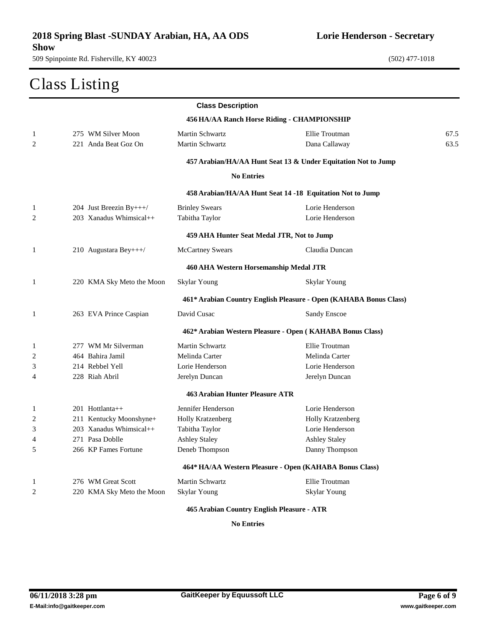### Class Listing

**Lorie Henderson - Secretary**

|                |                           | <b>Class Description</b>                   |                                                                   |      |
|----------------|---------------------------|--------------------------------------------|-------------------------------------------------------------------|------|
|                |                           |                                            | 456 HA/AA Ranch Horse Riding - CHAMPIONSHIP                       |      |
| 1              | 275 WM Silver Moon        | Martin Schwartz                            | Ellie Troutman                                                    | 67.5 |
| $\overline{c}$ | 221 Anda Beat Goz On      | Martin Schwartz                            | Dana Callaway                                                     | 63.5 |
|                |                           |                                            | 457 Arabian/HA/AA Hunt Seat 13 & Under Equitation Not to Jump     |      |
|                |                           | <b>No Entries</b>                          |                                                                   |      |
|                |                           |                                            | 458 Arabian/HA/AA Hunt Seat 14 -18 Equitation Not to Jump         |      |
| 1              | 204 Just Breezin By+++/   | <b>Brinley Swears</b>                      | Lorie Henderson                                                   |      |
| 2              | $203$ Xanadus Whimsical++ | Tabitha Taylor                             | Lorie Henderson                                                   |      |
|                |                           | 459 AHA Hunter Seat Medal JTR, Not to Jump |                                                                   |      |
| 1              | 210 Augustara Bey+++/     | <b>McCartney Swears</b>                    | Claudia Duncan                                                    |      |
|                |                           | 460 AHA Western Horsemanship Medal JTR     |                                                                   |      |
| 1              | 220 KMA Sky Meto the Moon | Skylar Young                               | Skylar Young                                                      |      |
|                |                           |                                            | 461* Arabian Country English Pleasure - Open (KAHABA Bonus Class) |      |
| 1              | 263 EVA Prince Caspian    | David Cusac                                | <b>Sandy Enscoe</b>                                               |      |
|                |                           |                                            | 462* Arabian Western Pleasure - Open (KAHABA Bonus Class)         |      |
| 1              | 277 WM Mr Silverman       | Martin Schwartz                            | Ellie Troutman                                                    |      |
| $\overline{c}$ | 464 Bahira Jamil          | Melinda Carter                             | Melinda Carter                                                    |      |
| 3              | 214 Rebbel Yell           | Lorie Henderson                            | Lorie Henderson                                                   |      |
| 4              | 228 Riah Abril            | Jerelyn Duncan                             | Jerelyn Duncan                                                    |      |
|                |                           | 463 Arabian Hunter Pleasure ATR            |                                                                   |      |
| 1              | $201$ Hottlanta++         | Jennifer Henderson                         | Lorie Henderson                                                   |      |
| $\overline{c}$ | 211 Kentucky Moonshyne+   | <b>Holly Kratzenberg</b>                   | <b>Holly Kratzenberg</b>                                          |      |
| 3              | 203 Xanadus Whimsical++   | Tabitha Taylor                             | Lorie Henderson                                                   |      |
| 4              | 271 Pasa Doblle           | <b>Ashley Staley</b>                       | <b>Ashley Staley</b>                                              |      |
| 5              | 266 KP Fames Fortune      | Deneb Thompson                             | Danny Thompson                                                    |      |
|                |                           |                                            | 464* HA/AA Western Pleasure - Open (KAHABA Bonus Class)           |      |
| 1              | 276 WM Great Scott        | Martin Schwartz                            | Ellie Troutman                                                    |      |
| $\overline{c}$ | 220 KMA Sky Meto the Moon | <b>Skylar Young</b>                        | <b>Skylar Young</b>                                               |      |
|                |                           |                                            |                                                                   |      |

#### **Arabian Country English Pleasure - ATR**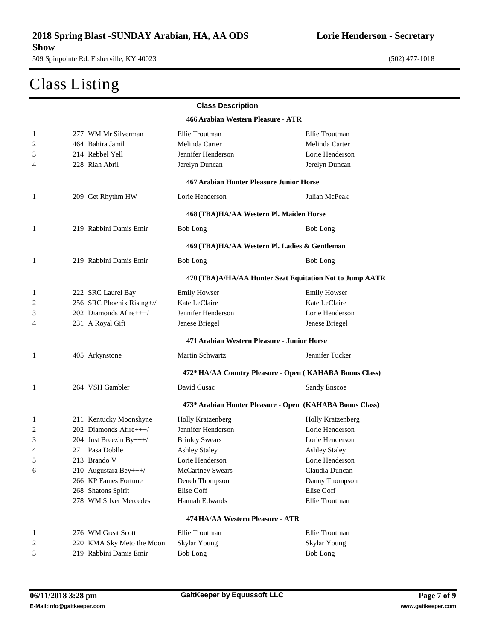#### Class Listing

|              |                           | <b>Class Description</b>                                 |                          |
|--------------|---------------------------|----------------------------------------------------------|--------------------------|
|              |                           | 466 Arabian Western Pleasure - ATR                       |                          |
| $\mathbf{1}$ | 277 WM Mr Silverman       | Ellie Troutman                                           | Ellie Troutman           |
| 2            | 464 Bahira Jamil          | Melinda Carter                                           | Melinda Carter           |
| 3            | 214 Rebbel Yell           | Jennifer Henderson                                       | Lorie Henderson          |
| 4            | 228 Riah Abril            | Jerelyn Duncan                                           | Jerelyn Duncan           |
|              |                           | 467 Arabian Hunter Pleasure Junior Horse                 |                          |
| 1            | 209 Get Rhythm HW         | Lorie Henderson                                          | Julian McPeak            |
|              |                           | 468 (TBA)HA/AA Western Pl. Maiden Horse                  |                          |
| 1            | 219 Rabbini Damis Emir    | <b>Bob Long</b>                                          | <b>Bob Long</b>          |
|              |                           | 469 (TBA)HA/AA Western Pl. Ladies & Gentleman            |                          |
| -1           | 219 Rabbini Damis Emir    | <b>Bob Long</b>                                          | <b>Bob Long</b>          |
|              |                           | 470 (TBA)A/HA/AA Hunter Seat Equitation Not to Jump AATR |                          |
| 1            | 222 SRC Laurel Bay        | <b>Emily Howser</b>                                      | <b>Emily Howser</b>      |
| 2            | 256 SRC Phoenix Rising+// | Kate LeClaire                                            | Kate LeClaire            |
| 3            | $202$ Diamonds Afire $++$ | Jennifer Henderson                                       | Lorie Henderson          |
| 4            | 231 A Royal Gift          | Jenese Briegel                                           | Jenese Briegel           |
|              |                           | 471 Arabian Western Pleasure - Junior Horse              |                          |
| 1            | 405 Arkynstone            | Martin Schwartz                                          | Jennifer Tucker          |
|              |                           | 472* HA/AA Country Pleasure - Open (KAHABA Bonus Class)  |                          |
| -1           | 264 VSH Gambler           | David Cusac                                              | <b>Sandy Enscoe</b>      |
|              |                           | 473* Arabian Hunter Pleasure - Open (KAHABA Bonus Class) |                          |
| 1            | 211 Kentucky Moonshyne+   | <b>Holly Kratzenberg</b>                                 | <b>Holly Kratzenberg</b> |
| 2            | 202 Diamonds Afire+++/    | Jennifer Henderson                                       | Lorie Henderson          |
| 3            | 204 Just Breezin By+++/   | <b>Brinley Swears</b>                                    | Lorie Henderson          |
| 4            | 271 Pasa Doblle           | <b>Ashley Staley</b>                                     | <b>Ashley Staley</b>     |
| 5            | 213 Brando V              | Lorie Henderson                                          | Lorie Henderson          |
| 6            | 210 Augustara Bey+++/     | <b>McCartney Swears</b>                                  | Claudia Duncan           |
|              | 266 KP Fames Fortune      | Deneb Thompson                                           | Danny Thompson           |
|              | 268 Shatons Spirit        | Elise Goff                                               | Elise Goff               |
|              | 278 WM Silver Mercedes    | Hannah Edwards                                           | Ellie Troutman           |
|              |                           | 474 HA/AA Western Pleasure - ATR                         |                          |
| $\mathbf{1}$ | 276 WM Great Scott        | Ellie Troutman                                           | Ellie Troutman           |
| 2            | 220 KMA Sky Meto the Moon | Skylar Young                                             | <b>Skylar Young</b>      |
| 3            | 219 Rabbini Damis Emir    | <b>Bob Long</b>                                          | <b>Bob Long</b>          |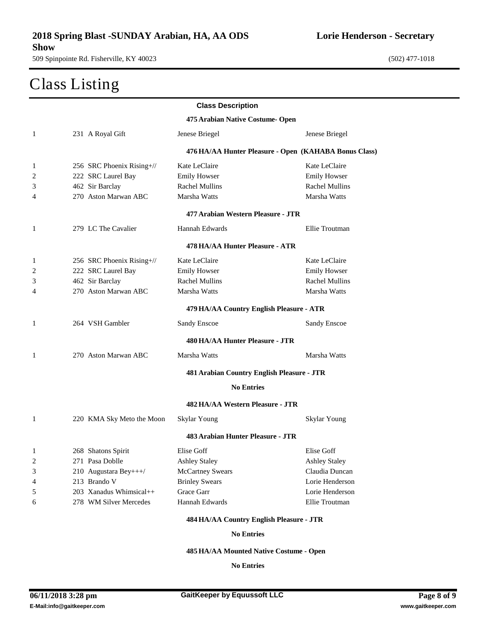#### Class Listing

|                |                           | <b>Class Description</b>                   |                                                       |
|----------------|---------------------------|--------------------------------------------|-------------------------------------------------------|
|                |                           | 475 Arabian Native Costume- Open           |                                                       |
| 1              | 231 A Royal Gift          | Jenese Briegel                             | Jenese Briegel                                        |
|                |                           |                                            | 476 HA/AA Hunter Pleasure - Open (KAHABA Bonus Class) |
| 1              | 256 SRC Phoenix Rising+// | Kate LeClaire                              | Kate LeClaire                                         |
| $\overline{c}$ | 222 SRC Laurel Bay        | <b>Emily Howser</b>                        | <b>Emily Howser</b>                                   |
| 3              | 462 Sir Barclay           | <b>Rachel Mullins</b>                      | <b>Rachel Mullins</b>                                 |
| 4              | 270 Aston Marwan ABC      | Marsha Watts                               | Marsha Watts                                          |
|                |                           | 477 Arabian Western Pleasure - JTR         |                                                       |
| 1              | 279 LC The Cavalier       | Hannah Edwards                             | Ellie Troutman                                        |
|                |                           | 478 HA/AA Hunter Pleasure - ATR            |                                                       |
| 1              | 256 SRC Phoenix Rising+// | Kate LeClaire                              | Kate LeClaire                                         |
| 2              | 222 SRC Laurel Bay        | <b>Emily Howser</b>                        | <b>Emily Howser</b>                                   |
| 3              | 462 Sir Barclay           | <b>Rachel Mullins</b>                      | <b>Rachel Mullins</b>                                 |
| 4              | 270 Aston Marwan ABC      | Marsha Watts                               | Marsha Watts                                          |
|                |                           | 479 HA/AA Country English Pleasure - ATR   |                                                       |
| 1              | 264 VSH Gambler           | Sandy Enscoe                               | <b>Sandy Enscoe</b>                                   |
|                |                           | 480 HA/AA Hunter Pleasure - JTR            |                                                       |
| 1              | 270 Aston Marwan ABC      | Marsha Watts                               | Marsha Watts                                          |
|                |                           | 481 Arabian Country English Pleasure - JTR |                                                       |
|                |                           | <b>No Entries</b>                          |                                                       |
|                |                           | 482 HA/AA Western Pleasure - JTR           |                                                       |
| 1              | 220 KMA Sky Meto the Moon | Skylar Young                               | Skylar Young                                          |
|                |                           | 483 Arabian Hunter Pleasure - JTR          |                                                       |
| 1              | 268 Shatons Spirit        | Elise Goff                                 | Elise Goff                                            |
| 2              | 271 Pasa Doblle           | <b>Ashley Staley</b>                       | <b>Ashley Staley</b>                                  |
| 3              | 210 Augustara Bey+++/     | <b>McCartney Swears</b>                    | Claudia Duncan                                        |
| 4              | 213 Brando V              | <b>Brinley Swears</b>                      | Lorie Henderson                                       |
| 5              | 203 Xanadus Whimsical++   | Grace Garr                                 | Lorie Henderson                                       |
| 6              | 278 WM Silver Mercedes    | Hannah Edwards                             | Ellie Troutman                                        |
|                |                           | 484 HA/AA Country English Pleasure - JTR   |                                                       |

**No Entries**

**HA/AA Mounted Native Costume - Open**